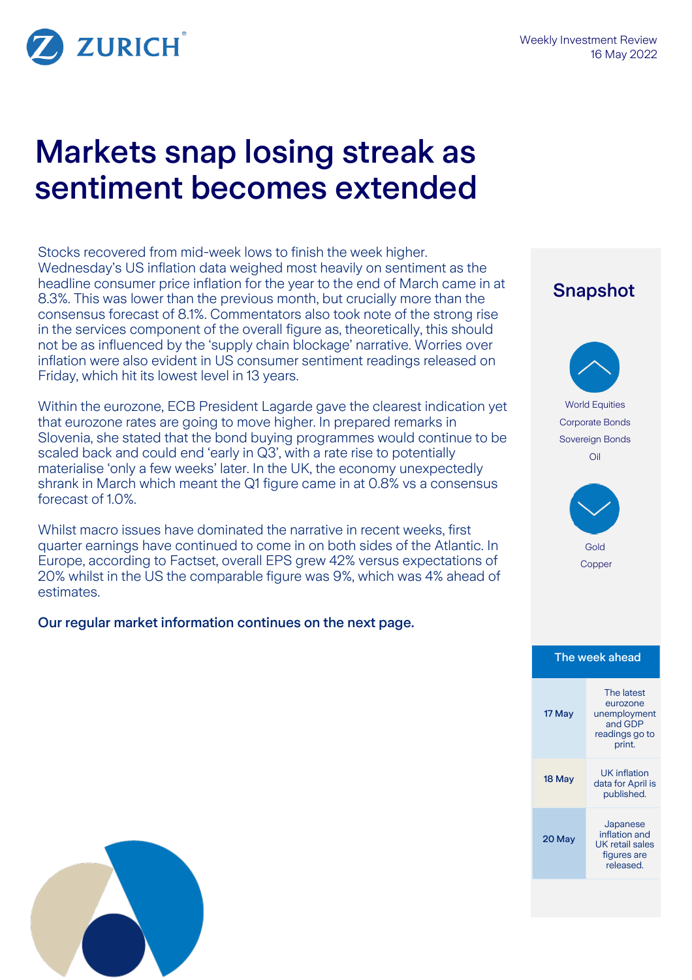

# Markets snap losing streak as sentiment becomes extended

Stocks recovered from mid-week lows to finish the week higher. Wednesday's US inflation data weighed most heavily on sentiment as the headline consumer price inflation for the year to the end of March came in at 8.3%. This was lower than the previous month, but crucially more than the consensus forecast of 8.1%. Commentators also took note of the strong rise in the services component of the overall figure as, theoretically, this should not be as influenced by the 'supply chain blockage' narrative. Worries over inflation were also evident in US consumer sentiment readings released on Friday, which hit its lowest level in 13 years.

Within the eurozone, ECB President Lagarde gave the clearest indication yet that eurozone rates are going to move higher. In prepared remarks in Slovenia, she stated that the bond buying programmes would continue to be scaled back and could end 'early in Q3', with a rate rise to potentially materialise 'only a few weeks' later. In the UK, the economy unexpectedly shrank in March which meant the Q1 figure came in at 0.8% vs a consensus forecast of 1.0%.

Whilst macro issues have dominated the narrative in recent weeks, first quarter earnings have continued to come in on both sides of the Atlantic. In Europe, according to Factset, overall EPS grew 42% versus expectations of 20% whilst in the US the comparable figure was 9%, which was 4% ahead of estimates.

### Our regular market information continues on the next page.

## Snapshot World Equities Corporate Bonds Sovereign Bonds Oil Gold Copper The week ahead 17 May The latest eurozone unemployment and GDP readings go to print. <sup>18</sup> May UK inflation data for April is published. 20 May Japanese inflation and UK retail sales figures are released.